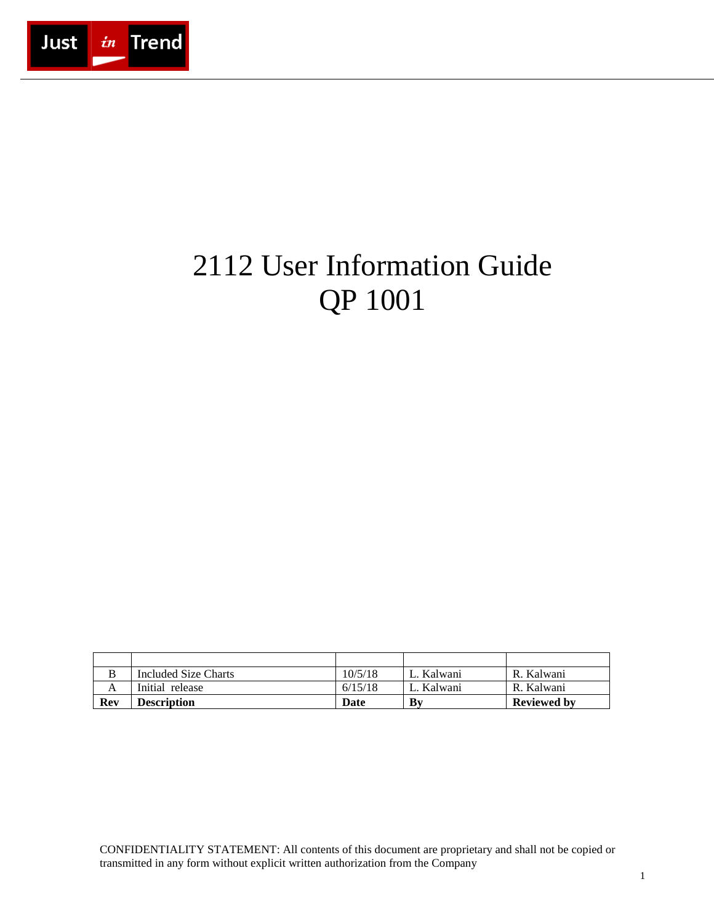

# 2112 User Information Guide QP 1001

|     | Included Size Charts | 10/5/18 | L. Kalwani | R. Kalwani         |
|-----|----------------------|---------|------------|--------------------|
|     | Initial release      | 6/15/18 | L. Kalwani | R. Kalwani         |
| Rev | Description          | Date    | Bv         | <b>Reviewed by</b> |

CONFIDENTIALITY STATEMENT: All contents of this document are proprietary and shall not be copied or transmitted in any form without explicit written authorization from the Company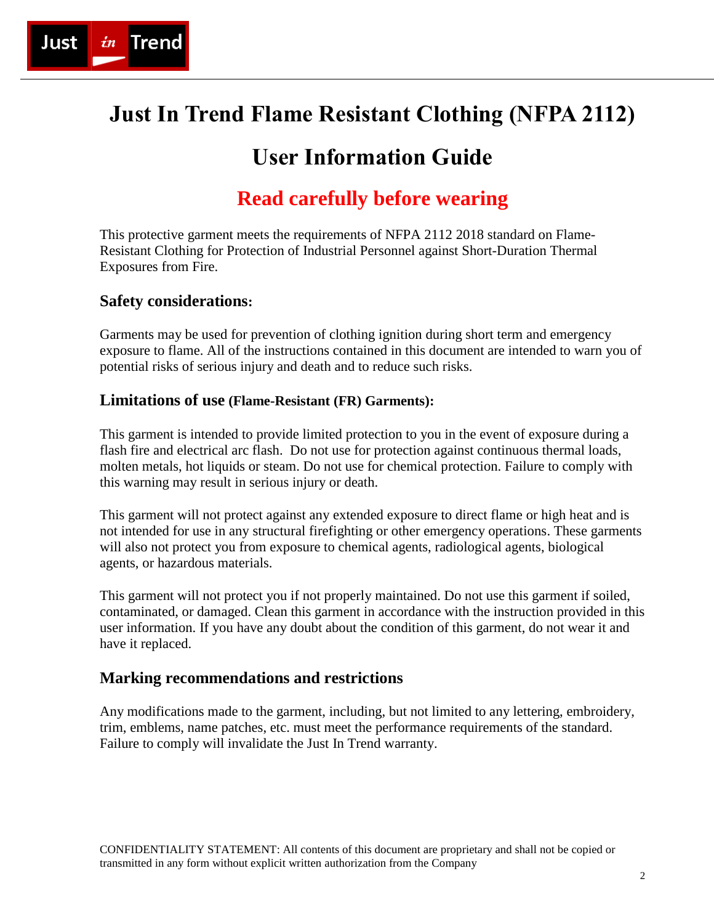

## **Just In Trend Flame Resistant Clothing (NFPA 2112)**

### **User Information Guide**

### **Read carefully before wearing**

This protective garment meets the requirements of NFPA 2112 2018 standard on Flame-Resistant Clothing for Protection of Industrial Personnel against Short-Duration Thermal Exposures from Fire.

#### **Safety considerations:**

Garments may be used for prevention of clothing ignition during short term and emergency exposure to flame. All of the instructions contained in this document are intended to warn you of potential risks of serious injury and death and to reduce such risks.

#### **Limitations of use (Flame-Resistant (FR) Garments):**

This garment is intended to provide limited protection to you in the event of exposure during a flash fire and electrical arc flash. Do not use for protection against continuous thermal loads, molten metals, hot liquids or steam. Do not use for chemical protection. Failure to comply with this warning may result in serious injury or death.

This garment will not protect against any extended exposure to direct flame or high heat and is not intended for use in any structural firefighting or other emergency operations. These garments will also not protect you from exposure to chemical agents, radiological agents, biological agents, or hazardous materials.

This garment will not protect you if not properly maintained. Do not use this garment if soiled, contaminated, or damaged. Clean this garment in accordance with the instruction provided in this user information. If you have any doubt about the condition of this garment, do not wear it and have it replaced.

#### **Marking recommendations and restrictions**

Any modifications made to the garment, including, but not limited to any lettering, embroidery, trim, emblems, name patches, etc. must meet the performance requirements of the standard. Failure to comply will invalidate the Just In Trend warranty.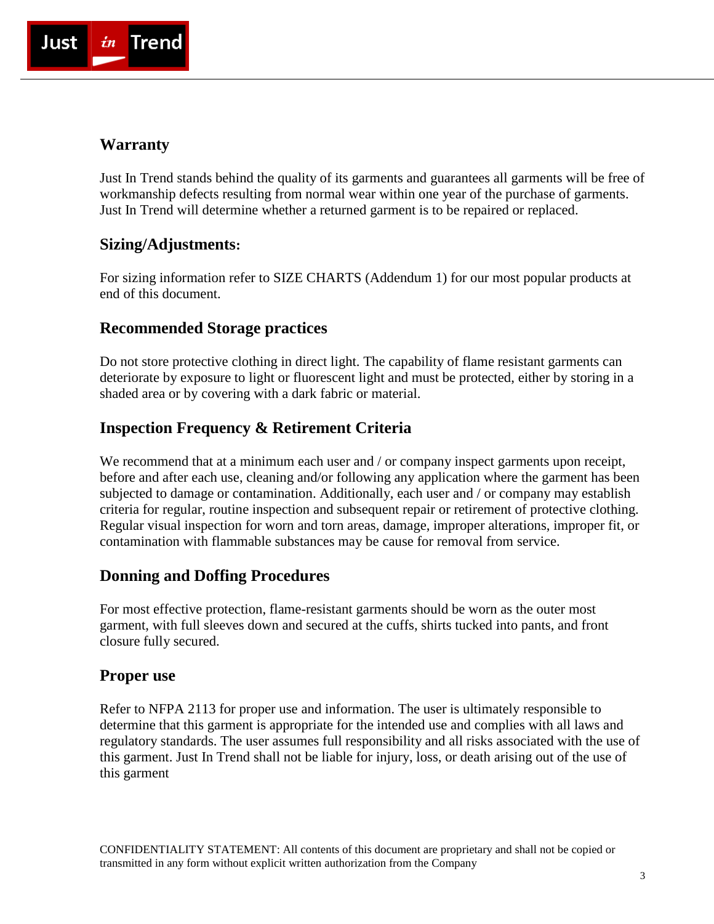

#### **Warranty**

Just In Trend stands behind the quality of its garments and guarantees all garments will be free of workmanship defects resulting from normal wear within one year of the purchase of garments. Just In Trend will determine whether a returned garment is to be repaired or replaced.

#### **Sizing/Adjustments:**

For sizing information refer to SIZE CHARTS (Addendum 1) for our most popular products at end of this document.

#### **Recommended Storage practices**

Do not store protective clothing in direct light. The capability of flame resistant garments can deteriorate by exposure to light or fluorescent light and must be protected, either by storing in a shaded area or by covering with a dark fabric or material.

#### **Inspection Frequency & Retirement Criteria**

We recommend that at a minimum each user and / or company inspect garments upon receipt, before and after each use, cleaning and/or following any application where the garment has been subjected to damage or contamination. Additionally, each user and / or company may establish criteria for regular, routine inspection and subsequent repair or retirement of protective clothing. Regular visual inspection for worn and torn areas, damage, improper alterations, improper fit, or contamination with flammable substances may be cause for removal from service.

#### **Donning and Doffing Procedures**

For most effective protection, flame-resistant garments should be worn as the outer most garment, with full sleeves down and secured at the cuffs, shirts tucked into pants, and front closure fully secured.

#### **Proper use**

Refer to NFPA 2113 for proper use and information. The user is ultimately responsible to determine that this garment is appropriate for the intended use and complies with all laws and regulatory standards. The user assumes full responsibility and all risks associated with the use of this garment. Just In Trend shall not be liable for injury, loss, or death arising out of the use of this garment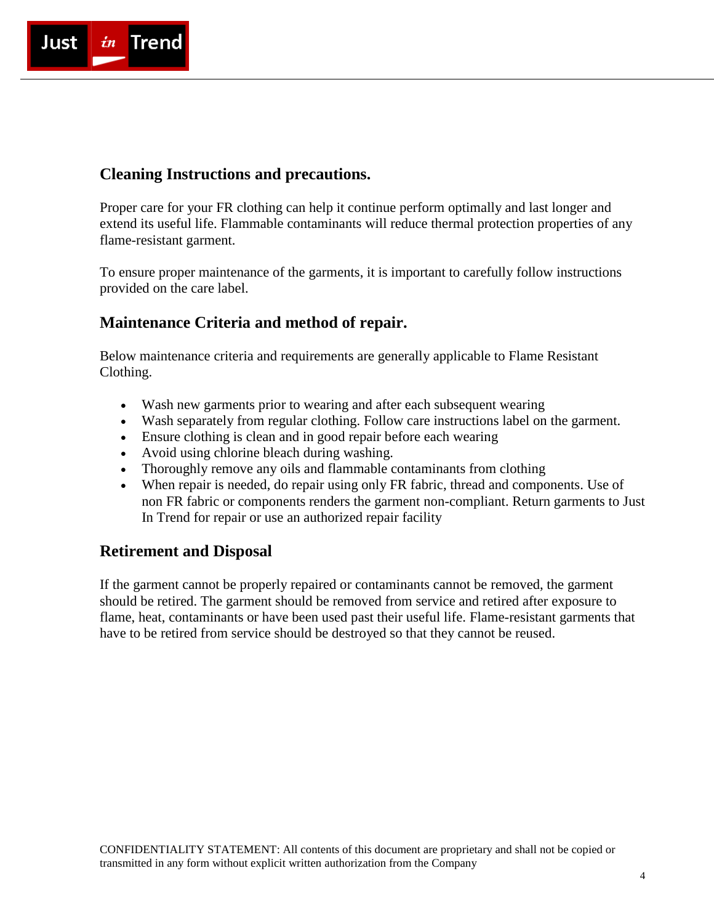

#### **Cleaning Instructions and precautions.**

Proper care for your FR clothing can help it continue perform optimally and last longer and extend its useful life. Flammable contaminants will reduce thermal protection properties of any flame-resistant garment.

To ensure proper maintenance of the garments, it is important to carefully follow instructions provided on the care label.

#### **Maintenance Criteria and method of repair.**

Below maintenance criteria and requirements are generally applicable to Flame Resistant Clothing.

- Wash new garments prior to wearing and after each subsequent wearing
- Wash separately from regular clothing. Follow care instructions label on the garment.
- Ensure clothing is clean and in good repair before each wearing
- Avoid using chlorine bleach during washing.
- Thoroughly remove any oils and flammable contaminants from clothing
- When repair is needed, do repair using only FR fabric, thread and components. Use of non FR fabric or components renders the garment non-compliant. Return garments to Just In Trend for repair or use an authorized repair facility

#### **Retirement and Disposal**

If the garment cannot be properly repaired or contaminants cannot be removed, the garment should be retired. The garment should be removed from service and retired after exposure to flame, heat, contaminants or have been used past their useful life. Flame-resistant garments that have to be retired from service should be destroyed so that they cannot be reused.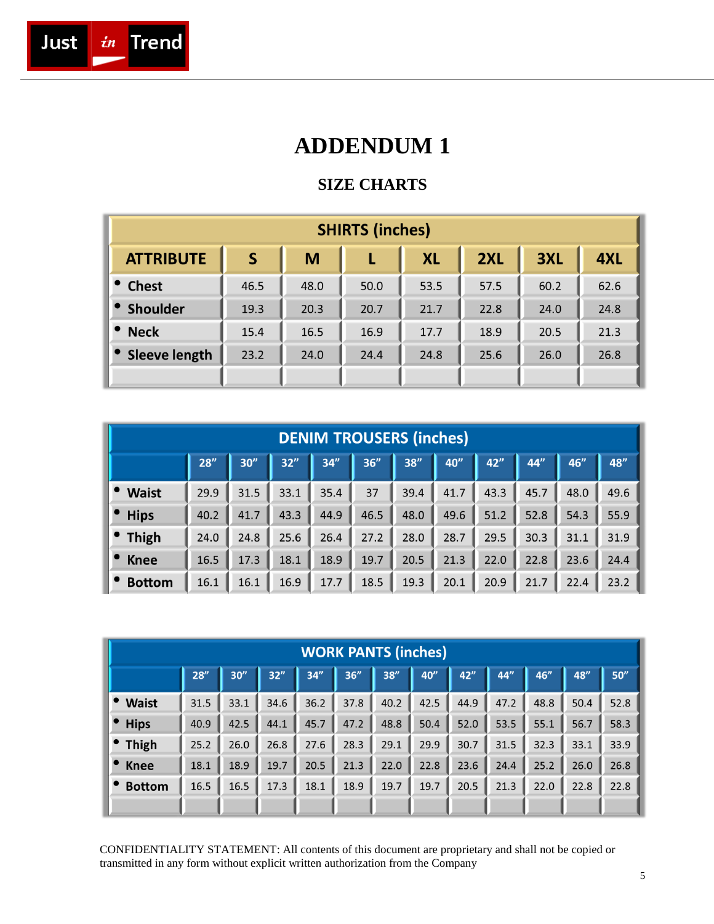

### **ADDENDUM 1**

#### **SIZE CHARTS**

| <b>SHIRTS (inches)</b> |                         |      |      |           |      |      |      |  |  |  |  |
|------------------------|-------------------------|------|------|-----------|------|------|------|--|--|--|--|
| <b>ATTRIBUTE</b>       | $\overline{\mathsf{S}}$ | M    |      | <b>XL</b> | 2XL  | 3XL  | 4XL  |  |  |  |  |
| <b>Chest</b>           | 46.5                    | 48.0 | 50.0 | 53.5      | 57.5 | 60.2 | 62.6 |  |  |  |  |
| <b>Shoulder</b>        | 19.3                    | 20.3 | 20.7 | 21.7      | 22.8 | 24.0 | 24.8 |  |  |  |  |
| <b>Neck</b>            | 15.4                    | 16.5 | 16.9 | 17.7      | 18.9 | 20.5 | 21.3 |  |  |  |  |
| Sleeve length          | 23.2                    | 24.0 | 24.4 | 24.8      | 25.6 | 26.0 | 26.8 |  |  |  |  |
|                        |                         |      |      |           |      |      |      |  |  |  |  |

|               | <b>DENIM TROUSERS (inches)</b> |      |      |      |      |      |      |      |      |      |      |  |  |
|---------------|--------------------------------|------|------|------|------|------|------|------|------|------|------|--|--|
|               | 28''                           | 30'' | 32"  | 34"  | 36"  | 38'' | 40"  | 42"  | 44"  | 46"  | 48'' |  |  |
| <b>Waist</b>  | 29.9                           | 31.5 | 33.1 | 35.4 | 37   | 39.4 | 41.7 | 43.3 | 45.7 | 48.0 | 49.6 |  |  |
| <b>Hips</b>   | 40.2                           | 41.7 | 43.3 | 44.9 | 46.5 | 48.0 | 49.6 | 51.2 | 52.8 | 54.3 | 55.9 |  |  |
| <b>Thigh</b>  | 24.0                           | 24.8 | 25.6 | 26.4 | 27.2 | 28.0 | 28.7 | 29.5 | 30.3 | 31.1 | 31.9 |  |  |
| <b>Knee</b>   | 16.5                           | 17.3 | 18.1 | 18.9 | 19.7 | 20.5 | 21.3 | 22.0 | 22.8 | 23.6 | 24.4 |  |  |
| <b>Bottom</b> | 16.1                           | 16.1 | 16.9 | 17.7 | 18.5 | 19.3 | 20.1 | 20.9 | 21.7 | 22.4 | 23.2 |  |  |

|               | <b>WORK PANTS (inches)</b> |      |      |      |      |      |      |      |      |      |      |      |  |
|---------------|----------------------------|------|------|------|------|------|------|------|------|------|------|------|--|
|               | 28''                       | 30'' | 32"  | 34"  | 36'' | 38'' | 40'' | 42"  | 44"  | 46"  | 48"  | 50'' |  |
| <b>Waist</b>  | 31.5                       | 33.1 | 34.6 | 36.2 | 37.8 | 40.2 | 42.5 | 44.9 | 47.2 | 48.8 | 50.4 | 52.8 |  |
| <b>Hips</b>   | 40.9                       | 42.5 | 44.1 | 45.7 | 47.2 | 48.8 | 50.4 | 52.0 | 53.5 | 55.1 | 56.7 | 58.3 |  |
| <b>Thigh</b>  | 25.2                       | 26.0 | 26.8 | 27.6 | 28.3 | 29.1 | 29.9 | 30.7 | 31.5 | 32.3 | 33.1 | 33.9 |  |
| <b>Knee</b>   | 18.1                       | 18.9 | 19.7 | 20.5 | 21.3 | 22.0 | 22.8 | 23.6 | 24.4 | 25.2 | 26.0 | 26.8 |  |
| <b>Bottom</b> | 16.5                       | 16.5 | 17.3 | 18.1 | 18.9 | 19.7 | 19.7 | 20.5 | 21.3 | 22.0 | 22.8 | 22.8 |  |
|               |                            |      |      |      |      |      |      |      |      |      |      |      |  |

CONFIDENTIALITY STATEMENT: All contents of this document are proprietary and shall not be copied or transmitted in any form without explicit written authorization from the Company